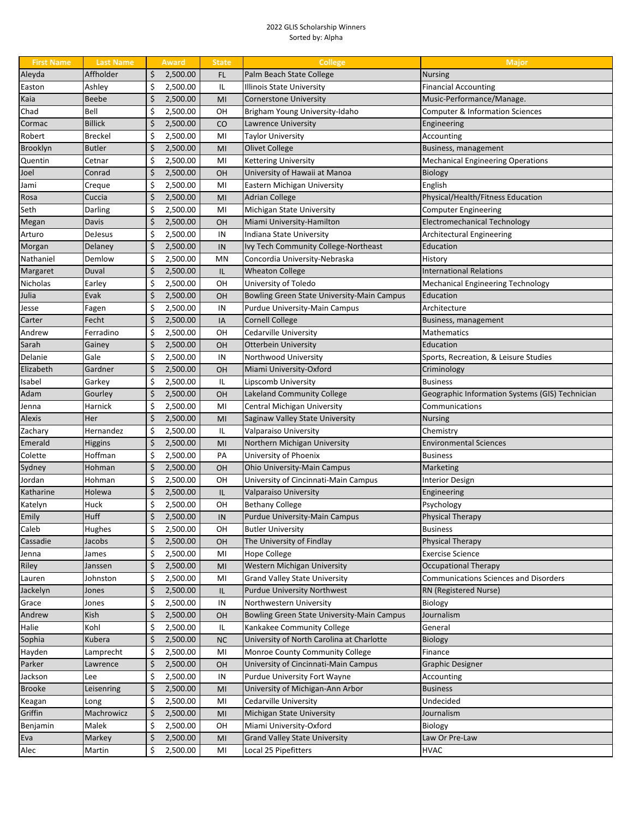## 2022 GLIS Scholarship Winners Sorted by: Alpha

| <b>First Name</b> | <b>Last Name</b> | <b>Award</b>   | <b>State</b> | <b>College</b>                             | Major                                           |
|-------------------|------------------|----------------|--------------|--------------------------------------------|-------------------------------------------------|
| Aleyda            | Affholder        | \$<br>2,500.00 | FL           | Palm Beach State College                   | <b>Nursing</b>                                  |
| Easton            | Ashley           | \$<br>2,500.00 | IL           | Illinois State University                  | <b>Financial Accounting</b>                     |
| Kaia              | Beebe            | \$<br>2,500.00 | MI           | Cornerstone University                     | Music-Performance/Manage.                       |
| Chad              | Bell             | \$<br>2,500.00 | OН           | Brigham Young University-Idaho             | Computer & Information Sciences                 |
| Cormac            | <b>Billick</b>   | \$<br>2,500.00 | CO           | Lawrence University                        | Engineering                                     |
| Robert            | <b>Breckel</b>   | \$<br>2,500.00 | MI           | Taylor University                          | Accounting                                      |
| Brooklyn          | <b>Butler</b>    | \$<br>2,500.00 | MI           | Olivet College                             | Business, management                            |
| Quentin           | Cetnar           | \$<br>2,500.00 | MI           | <b>Kettering University</b>                | Mechanical Engineering Operations               |
| Joel              | Conrad           | \$<br>2,500.00 | <b>OH</b>    | University of Hawaii at Manoa              | <b>Biology</b>                                  |
| Jami              | Creque           | \$<br>2,500.00 | MI           | Eastern Michigan University                | English                                         |
| Rosa              | Cuccia           | \$<br>2,500.00 | MI           | <b>Adrian College</b>                      | Physical/Health/Fitness Education               |
| Seth              | Darling          | \$<br>2,500.00 | MI           | Michigan State University                  | <b>Computer Engineering</b>                     |
| Megan             | Davis            | \$<br>2,500.00 | <b>OH</b>    | Miami University-Hamilton                  | <b>Electromechanical Technology</b>             |
| Arturo            | DeJesus          | \$<br>2,500.00 | IN           | Indiana State University                   | Architectural Engineering                       |
| Morgan            | Delaney          | \$<br>2,500.00 | IN           | Ivy Tech Community College-Northeast       | Education                                       |
| Nathaniel         | Demlow           | \$<br>2,500.00 | MN           | Concordia University-Nebraska              | History                                         |
| Margaret          | Duval            | \$<br>2,500.00 | IL           | <b>Wheaton College</b>                     | <b>International Relations</b>                  |
| Nicholas          | Earley           | \$<br>2,500.00 | OН           | University of Toledo                       | <b>Mechanical Engineering Technology</b>        |
| Julia             | Evak             | \$<br>2,500.00 | <b>OH</b>    | Bowling Green State University-Main Campus | Education                                       |
| Jesse             | Fagen            | \$<br>2,500.00 | IN           | Purdue University-Main Campus              | Architecture                                    |
| Carter            | Fecht            | \$<br>2,500.00 | IA           | <b>Cornell College</b>                     | Business, management                            |
| Andrew            | Ferradino        | \$<br>2,500.00 | OН           | Cedarville University                      | Mathematics                                     |
| Sarah             | Gainey           | \$<br>2,500.00 | <b>OH</b>    | <b>Otterbein University</b>                | Education                                       |
| Delanie           | Gale             | \$<br>2,500.00 | IN           | Northwood University                       | Sports, Recreation, & Leisure Studies           |
| Elizabeth         | Gardner          | \$<br>2,500.00 | <b>OH</b>    | Miami University-Oxford                    | Criminology                                     |
| Isabel            | Garkey           | \$<br>2,500.00 | IL           | Lipscomb University                        | <b>Business</b>                                 |
| Adam              | Gourley          | \$<br>2,500.00 | <b>OH</b>    | Lakeland Community College                 | Geographic Information Systems (GIS) Technician |
| Jenna             | Harnick          | \$<br>2,500.00 | MI           | Central Michigan University                | Communications                                  |
| <b>Alexis</b>     | Her              | \$<br>2,500.00 | MI           | Saginaw Valley State University            | <b>Nursing</b>                                  |
| Zachary           | Hernandez        | \$<br>2,500.00 | IL           | Valparaiso University                      | Chemistry                                       |
| Emerald           | Higgins          | \$<br>2,500.00 | MI           | Northern Michigan University               | <b>Environmental Sciences</b>                   |
| Colette           | Hoffman          | \$<br>2,500.00 | PA           | University of Phoenix                      | <b>Business</b>                                 |
| Sydney            | Hohman           | \$<br>2,500.00 | <b>OH</b>    | Ohio University-Main Campus                | Marketing                                       |
| Jordan            | Hohman           | \$<br>2,500.00 | OН           | University of Cincinnati-Main Campus       | <b>Interior Design</b>                          |
| Katharine         | Holewa           | \$<br>2,500.00 | IL           | Valparaiso University                      | Engineering                                     |
| Katelyn           | Huck             | \$<br>2,500.00 | OН           | <b>Bethany College</b>                     | Psychology                                      |
| Emily             | <b>Huff</b>      | \$<br>2,500.00 | IN           | Purdue University-Main Campus              | Physical Therapy                                |
| Caleb             | Hughes           | \$<br>2,500.00 | OН           | <b>Butler University</b>                   | <b>Business</b>                                 |
| Cassadie          | Jacobs           | \$<br>2,500.00 | <b>OH</b>    | The University of Findlay                  | Physical Therapy                                |
| Jenna             | James            | \$<br>2,500.00 | MI           | Hope College                               | <b>Exercise Science</b>                         |
| Riley             | Janssen          | \$<br>2,500.00 | MI           | Western Michigan University                | <b>Occupational Therapy</b>                     |
| Lauren            | Johnston         | \$<br>2,500.00 | MI           | <b>Grand Valley State University</b>       | <b>Communications Sciences and Disorders</b>    |
| Jackelyn          | Jones            | \$<br>2,500.00 | IL           | <b>Purdue University Northwest</b>         | RN (Registered Nurse)                           |
| Grace             | Jones            | \$<br>2,500.00 | IN           | Northwestern University                    | Biology                                         |
| Andrew            | Kish             | \$<br>2,500.00 | <b>OH</b>    | Bowling Green State University-Main Campus | Journalism                                      |
| Halie             | Kohl             | \$<br>2,500.00 | IL           | Kankakee Community College                 | General                                         |
| Sophia            | Kubera           | \$<br>2,500.00 | <b>NC</b>    | University of North Carolina at Charlotte  | Biology                                         |
| Hayden            | Lamprecht        | \$<br>2,500.00 | MI           | Monroe County Community College            | Finance                                         |
| Parker            | Lawrence         | \$<br>2,500.00 | <b>OH</b>    | University of Cincinnati-Main Campus       | Graphic Designer                                |
| Jackson           | Lee              | \$<br>2,500.00 | IN           | Purdue University Fort Wayne               | Accounting                                      |
| <b>Brooke</b>     | Leisenring       | \$<br>2,500.00 | MI           | University of Michigan-Ann Arbor           | <b>Business</b>                                 |
| Keagan            | Long             | \$<br>2,500.00 | MI           | Cedarville University                      | Undecided                                       |
| Griffin           | Machrowicz       | \$<br>2,500.00 | MI           | Michigan State University                  | Journalism                                      |
| Benjamin          | Malek            | \$<br>2,500.00 | OН           | Miami University-Oxford                    | Biology                                         |
| Eva               | Markey           | \$<br>2,500.00 | MI           | <b>Grand Valley State University</b>       | Law Or Pre-Law                                  |
| Alec              | Martin           | \$<br>2,500.00 | MI           | Local 25 Pipefitters                       | HVAC                                            |